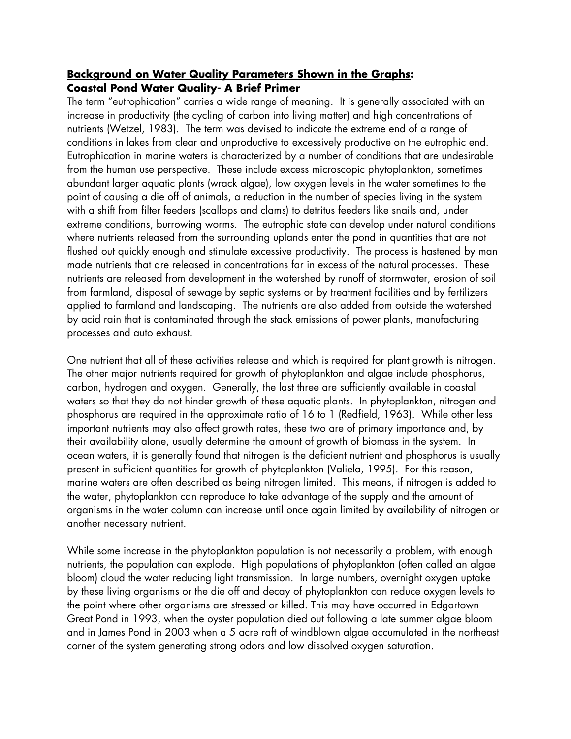#### **Background on Water Quality Parameters Shown in the Graphs: Coastal Pond Water Quality- A Brief Primer**

The term "eutrophication" carries a wide range of meaning. It is generally associated with an increase in productivity (the cycling of carbon into living matter) and high concentrations of nutrients (Wetzel, 1983). The term was devised to indicate the extreme end of a range of conditions in lakes from clear and unproductive to excessively productive on the eutrophic end. Eutrophication in marine waters is characterized by a number of conditions that are undesirable from the human use perspective. These include excess microscopic phytoplankton, sometimes abundant larger aquatic plants (wrack algae), low oxygen levels in the water sometimes to the point of causing a die off of animals, a reduction in the number of species living in the system with a shift from filter feeders (scallops and clams) to detritus feeders like snails and, under extreme conditions, burrowing worms. The eutrophic state can develop under natural conditions where nutrients released from the surrounding uplands enter the pond in quantities that are not flushed out quickly enough and stimulate excessive productivity. The process is hastened by man made nutrients that are released in concentrations far in excess of the natural processes. These nutrients are released from development in the watershed by runoff of stormwater, erosion of soil from farmland, disposal of sewage by septic systems or by treatment facilities and by fertilizers applied to farmland and landscaping. The nutrients are also added from outside the watershed by acid rain that is contaminated through the stack emissions of power plants, manufacturing processes and auto exhaust.

One nutrient that all of these activities release and which is required for plant growth is nitrogen. The other major nutrients required for growth of phytoplankton and algae include phosphorus, carbon, hydrogen and oxygen. Generally, the last three are sufficiently available in coastal waters so that they do not hinder growth of these aquatic plants. In phytoplankton, nitrogen and phosphorus are required in the approximate ratio of 16 to 1 (Redfield, 1963). While other less important nutrients may also affect growth rates, these two are of primary importance and, by their availability alone, usually determine the amount of growth of biomass in the system. In ocean waters, it is generally found that nitrogen is the deficient nutrient and phosphorus is usually present in sufficient quantities for growth of phytoplankton (Valiela, 1995). For this reason, marine waters are often described as being nitrogen limited. This means, if nitrogen is added to the water, phytoplankton can reproduce to take advantage of the supply and the amount of organisms in the water column can increase until once again limited by availability of nitrogen or another necessary nutrient.

While some increase in the phytoplankton population is not necessarily a problem, with enough nutrients, the population can explode. High populations of phytoplankton (often called an algae bloom) cloud the water reducing light transmission. In large numbers, overnight oxygen uptake by these living organisms or the die off and decay of phytoplankton can reduce oxygen levels to the point where other organisms are stressed or killed. This may have occurred in Edgartown Great Pond in 1993, when the oyster population died out following a late summer algae bloom and in James Pond in 2003 when a 5 acre raft of windblown algae accumulated in the northeast corner of the system generating strong odors and low dissolved oxygen saturation.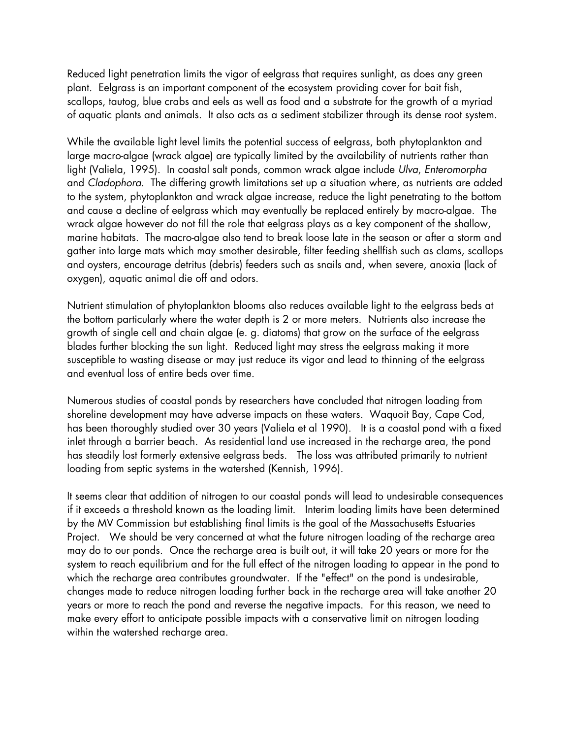Reduced light penetration limits the vigor of eelgrass that requires sunlight, as does any green plant. Eelgrass is an important component of the ecosystem providing cover for bait fish, scallops, tautog, blue crabs and eels as well as food and a substrate for the growth of a myriad of aquatic plants and animals. It also acts as a sediment stabilizer through its dense root system.

While the available light level limits the potential success of eelgrass, both phytoplankton and large macro-algae (wrack algae) are typically limited by the availability of nutrients rather than light (Valiela, 1995). In coastal salt ponds, common wrack algae include *Ulva*, *Enteromorpha*  and *Cladophora*. The differing growth limitations set up a situation where, as nutrients are added to the system, phytoplankton and wrack algae increase, reduce the light penetrating to the bottom and cause a decline of eelgrass which may eventually be replaced entirely by macro-algae. The wrack algae however do not fill the role that eelgrass plays as a key component of the shallow, marine habitats. The macro-algae also tend to break loose late in the season or after a storm and gather into large mats which may smother desirable, filter feeding shellfish such as clams, scallops and oysters, encourage detritus (debris) feeders such as snails and, when severe, anoxia (lack of oxygen), aquatic animal die off and odors.

Nutrient stimulation of phytoplankton blooms also reduces available light to the eelgrass beds at the bottom particularly where the water depth is 2 or more meters. Nutrients also increase the growth of single cell and chain algae (e. g. diatoms) that grow on the surface of the eelgrass blades further blocking the sun light. Reduced light may stress the eelgrass making it more susceptible to wasting disease or may just reduce its vigor and lead to thinning of the eelgrass and eventual loss of entire beds over time.

Numerous studies of coastal ponds by researchers have concluded that nitrogen loading from shoreline development may have adverse impacts on these waters. Waquoit Bay, Cape Cod, has been thoroughly studied over 30 years (Valiela et al 1990). It is a coastal pond with a fixed inlet through a barrier beach. As residential land use increased in the recharge area, the pond has steadily lost formerly extensive eelgrass beds. The loss was attributed primarily to nutrient loading from septic systems in the watershed (Kennish, 1996).

It seems clear that addition of nitrogen to our coastal ponds will lead to undesirable consequences if it exceeds a threshold known as the loading limit. Interim loading limits have been determined by the MV Commission but establishing final limits is the goal of the Massachusetts Estuaries Project. We should be very concerned at what the future nitrogen loading of the recharge area may do to our ponds. Once the recharge area is built out, it will take 20 years or more for the system to reach equilibrium and for the full effect of the nitrogen loading to appear in the pond to which the recharge area contributes groundwater. If the "effect" on the pond is undesirable, changes made to reduce nitrogen loading further back in the recharge area will take another 20 years or more to reach the pond and reverse the negative impacts. For this reason, we need to make every effort to anticipate possible impacts with a conservative limit on nitrogen loading within the watershed recharge area.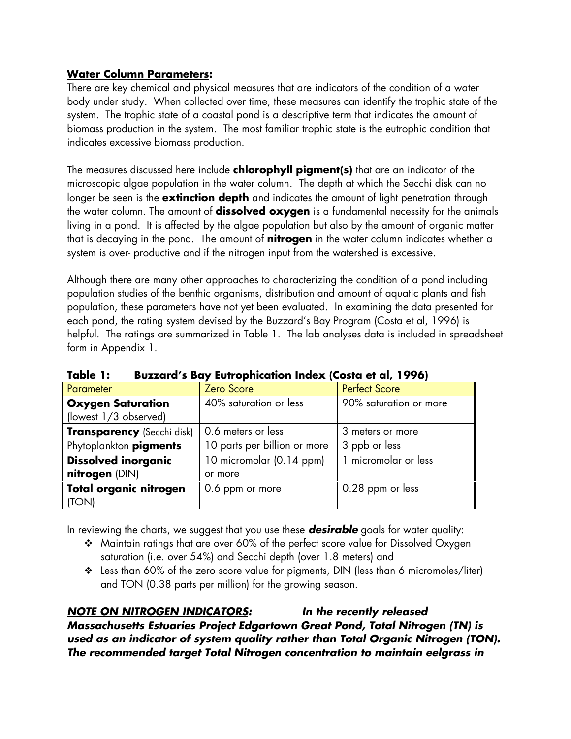#### **Water Column Parameters:**

There are key chemical and physical measures that are indicators of the condition of a water body under study. When collected over time, these measures can identify the trophic state of the system. The trophic state of a coastal pond is a descriptive term that indicates the amount of biomass production in the system. The most familiar trophic state is the eutrophic condition that indicates excessive biomass production.

The measures discussed here include **chlorophyll pigment(s)** that are an indicator of the microscopic algae population in the water column. The depth at which the Secchi disk can no longer be seen is the **extinction depth** and indicates the amount of light penetration through the water column. The amount of **dissolved oxygen** is a fundamental necessity for the animals living in a pond. It is affected by the algae population but also by the amount of organic matter that is decaying in the pond. The amount of **nitrogen** in the water column indicates whether a system is over- productive and if the nitrogen input from the watershed is excessive.

Although there are many other approaches to characterizing the condition of a pond including population studies of the benthic organisms, distribution and amount of aquatic plants and fish population, these parameters have not yet been evaluated. In examining the data presented for each pond, the rating system devised by the Buzzard's Bay Program (Costa et al, 1996) is helpful. The ratings are summarized in Table 1. The lab analyses data is included in spreadsheet form in Appendix 1.

| Parameter                                         | Zero Score                   | <b>Perfect Score</b>   |
|---------------------------------------------------|------------------------------|------------------------|
| <b>Oxygen Saturation</b><br>(lowest 1/3 observed) | 40% saturation or less       | 90% saturation or more |
|                                                   |                              |                        |
| <b>Transparency</b> (Secchi disk)                 | 0.6 meters or less           | 3 meters or more       |
| Phytoplankton pigments                            | 10 parts per billion or more | 3 ppb or less          |
| <b>Dissolved inorganic</b>                        | 10 micromolar (0.14 ppm)     | micromolar or less     |
| nitrogen (DIN)                                    | or more                      |                        |
| Total organic nitrogen                            | 0.6 ppm or more              | 0.28 ppm or less       |
| (TON)                                             |                              |                        |

**Table 1: Buzzard's Bay Eutrophication Index (Costa et al, 1996)** 

In reviewing the charts, we suggest that you use these *desirable* goals for water quality:

- Maintain ratings that are over 60% of the perfect score value for Dissolved Oxygen saturation (i.e. over 54%) and Secchi depth (over 1.8 meters) and
- Less than 60% of the zero score value for pigments, DIN (less than 6 micromoles/liter) and TON (0.38 parts per million) for the growing season.

# *NOTE ON NITROGEN INDICATORS: In the recently released*

*Massachusetts Estuaries Project Edgartown Great Pond, Total Nitrogen (TN) is used as an indicator of system quality rather than Total Organic Nitrogen (TON). The recommended target Total Nitrogen concentration to maintain eelgrass in*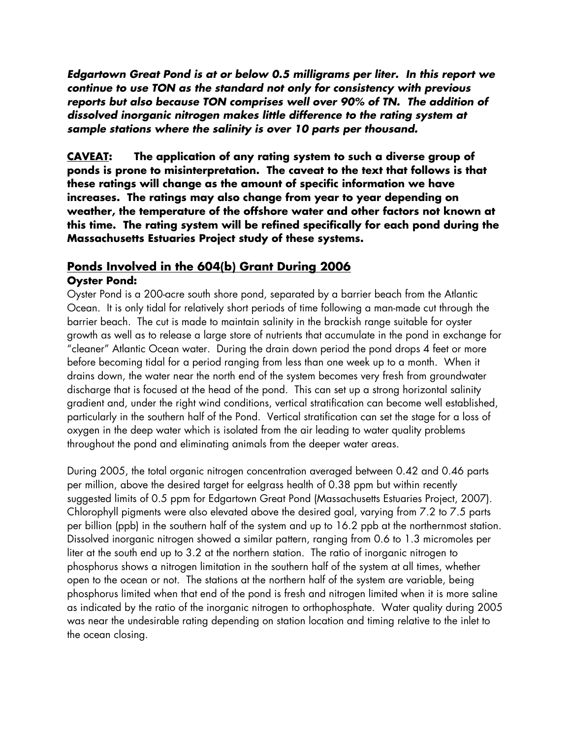*Edgartown Great Pond is at or below 0.5 milligrams per liter. In this report we continue to use TON as the standard not only for consistency with previous reports but also because TON comprises well over 90% of TN. The addition of dissolved inorganic nitrogen makes little difference to the rating system at sample stations where the salinity is over 10 parts per thousand.* 

**CAVEAT: The application of any rating system to such a diverse group of ponds is prone to misinterpretation. The caveat to the text that follows is that these ratings will change as the amount of specific information we have increases. The ratings may also change from year to year depending on weather, the temperature of the offshore water and other factors not known at this time. The rating system will be refined specifically for each pond during the Massachusetts Estuaries Project study of these systems.** 

#### **Ponds Involved in the 604(b) Grant During 2006 Oyster Pond:**

Oyster Pond is a 200-acre south shore pond, separated by a barrier beach from the Atlantic Ocean. It is only tidal for relatively short periods of time following a man-made cut through the barrier beach. The cut is made to maintain salinity in the brackish range suitable for oyster growth as well as to release a large store of nutrients that accumulate in the pond in exchange for "cleaner" Atlantic Ocean water. During the drain down period the pond drops 4 feet or more before becoming tidal for a period ranging from less than one week up to a month. When it drains down, the water near the north end of the system becomes very fresh from groundwater discharge that is focused at the head of the pond. This can set up a strong horizontal salinity gradient and, under the right wind conditions, vertical stratification can become well established, particularly in the southern half of the Pond. Vertical stratification can set the stage for a loss of oxygen in the deep water which is isolated from the air leading to water quality problems throughout the pond and eliminating animals from the deeper water areas.

During 2005, the total organic nitrogen concentration averaged between 0.42 and 0.46 parts per million, above the desired target for eelgrass health of 0.38 ppm but within recently suggested limits of 0.5 ppm for Edgartown Great Pond (Massachusetts Estuaries Project, 2007). Chlorophyll pigments were also elevated above the desired goal, varying from 7.2 to 7.5 parts per billion (ppb) in the southern half of the system and up to 16.2 ppb at the northernmost station. Dissolved inorganic nitrogen showed a similar pattern, ranging from 0.6 to 1.3 micromoles per liter at the south end up to 3.2 at the northern station. The ratio of inorganic nitrogen to phosphorus shows a nitrogen limitation in the southern half of the system at all times, whether open to the ocean or not. The stations at the northern half of the system are variable, being phosphorus limited when that end of the pond is fresh and nitrogen limited when it is more saline as indicated by the ratio of the inorganic nitrogen to orthophosphate. Water quality during 2005 was near the undesirable rating depending on station location and timing relative to the inlet to the ocean closing.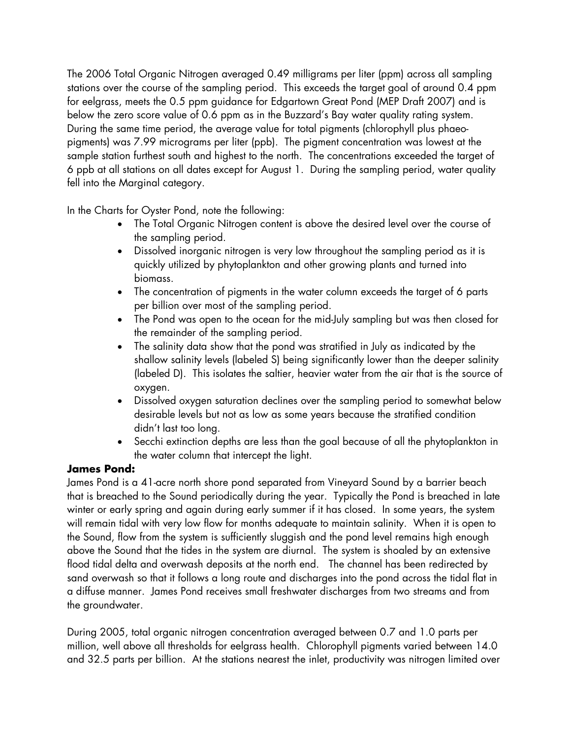The 2006 Total Organic Nitrogen averaged 0.49 milligrams per liter (ppm) across all sampling stations over the course of the sampling period. This exceeds the target goal of around 0.4 ppm for eelgrass, meets the 0.5 ppm guidance for Edgartown Great Pond (MEP Draft 2007) and is below the zero score value of 0.6 ppm as in the Buzzard's Bay water quality rating system. During the same time period, the average value for total pigments (chlorophyll plus phaeopigments) was 7.99 micrograms per liter (ppb). The pigment concentration was lowest at the sample station furthest south and highest to the north. The concentrations exceeded the target of 6 ppb at all stations on all dates except for August 1. During the sampling period, water quality fell into the Marginal category.

In the Charts for Oyster Pond, note the following:

- The Total Organic Nitrogen content is above the desired level over the course of the sampling period.
- Dissolved inorganic nitrogen is very low throughout the sampling period as it is quickly utilized by phytoplankton and other growing plants and turned into biomass.
- The concentration of pigments in the water column exceeds the target of 6 parts per billion over most of the sampling period.
- The Pond was open to the ocean for the mid-July sampling but was then closed for the remainder of the sampling period.
- The salinity data show that the pond was stratified in July as indicated by the shallow salinity levels (labeled S) being significantly lower than the deeper salinity (labeled D). This isolates the saltier, heavier water from the air that is the source of oxygen.
- Dissolved oxygen saturation declines over the sampling period to somewhat below desirable levels but not as low as some years because the stratified condition didn't last too long.
- Secchi extinction depths are less than the goal because of all the phytoplankton in the water column that intercept the light.

# **James Pond:**

James Pond is a 41-acre north shore pond separated from Vineyard Sound by a barrier beach that is breached to the Sound periodically during the year. Typically the Pond is breached in late winter or early spring and again during early summer if it has closed. In some years, the system will remain tidal with very low flow for months adequate to maintain salinity. When it is open to the Sound, flow from the system is sufficiently sluggish and the pond level remains high enough above the Sound that the tides in the system are diurnal. The system is shoaled by an extensive flood tidal delta and overwash deposits at the north end. The channel has been redirected by sand overwash so that it follows a long route and discharges into the pond across the tidal flat in a diffuse manner. James Pond receives small freshwater discharges from two streams and from the groundwater.

During 2005, total organic nitrogen concentration averaged between 0.7 and 1.0 parts per million, well above all thresholds for eelgrass health. Chlorophyll pigments varied between 14.0 and 32.5 parts per billion. At the stations nearest the inlet, productivity was nitrogen limited over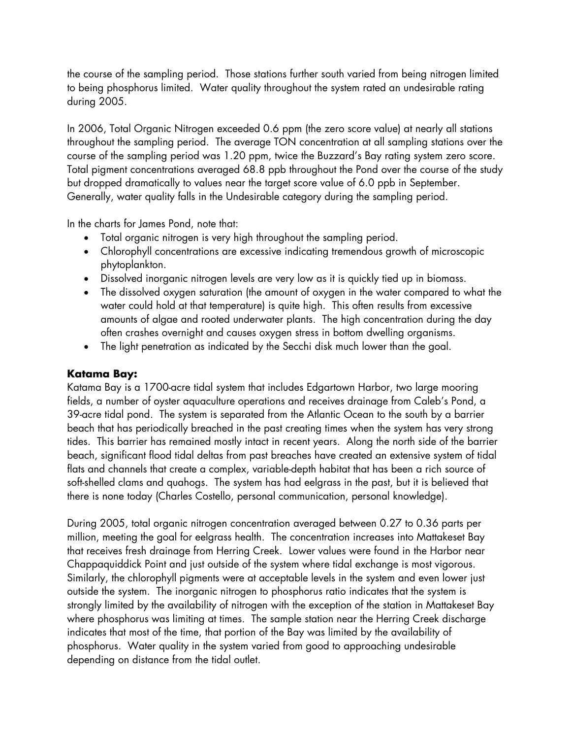the course of the sampling period. Those stations further south varied from being nitrogen limited to being phosphorus limited. Water quality throughout the system rated an undesirable rating during 2005.

In 2006, Total Organic Nitrogen exceeded 0.6 ppm (the zero score value) at nearly all stations throughout the sampling period. The average TON concentration at all sampling stations over the course of the sampling period was 1.20 ppm, twice the Buzzard's Bay rating system zero score. Total pigment concentrations averaged 68.8 ppb throughout the Pond over the course of the study but dropped dramatically to values near the target score value of 6.0 ppb in September. Generally, water quality falls in the Undesirable category during the sampling period.

In the charts for James Pond, note that:

- Total organic nitrogen is very high throughout the sampling period.
- Chlorophyll concentrations are excessive indicating tremendous growth of microscopic phytoplankton.
- Dissolved inorganic nitrogen levels are very low as it is quickly tied up in biomass.
- The dissolved oxygen saturation (the amount of oxygen in the water compared to what the water could hold at that temperature) is quite high. This often results from excessive amounts of algae and rooted underwater plants. The high concentration during the day often crashes overnight and causes oxygen stress in bottom dwelling organisms.
- The light penetration as indicated by the Secchi disk much lower than the goal.

## **Katama Bay:**

Katama Bay is a 1700-acre tidal system that includes Edgartown Harbor, two large mooring fields, a number of oyster aquaculture operations and receives drainage from Caleb's Pond, a 39-acre tidal pond. The system is separated from the Atlantic Ocean to the south by a barrier beach that has periodically breached in the past creating times when the system has very strong tides. This barrier has remained mostly intact in recent years. Along the north side of the barrier beach, significant flood tidal deltas from past breaches have created an extensive system of tidal flats and channels that create a complex, variable-depth habitat that has been a rich source of soft-shelled clams and quahogs. The system has had eelgrass in the past, but it is believed that there is none today (Charles Costello, personal communication, personal knowledge).

During 2005, total organic nitrogen concentration averaged between 0.27 to 0.36 parts per million, meeting the goal for eelgrass health. The concentration increases into Mattakeset Bay that receives fresh drainage from Herring Creek. Lower values were found in the Harbor near Chappaquiddick Point and just outside of the system where tidal exchange is most vigorous. Similarly, the chlorophyll pigments were at acceptable levels in the system and even lower just outside the system. The inorganic nitrogen to phosphorus ratio indicates that the system is strongly limited by the availability of nitrogen with the exception of the station in Mattakeset Bay where phosphorus was limiting at times. The sample station near the Herring Creek discharge indicates that most of the time, that portion of the Bay was limited by the availability of phosphorus. Water quality in the system varied from good to approaching undesirable depending on distance from the tidal outlet.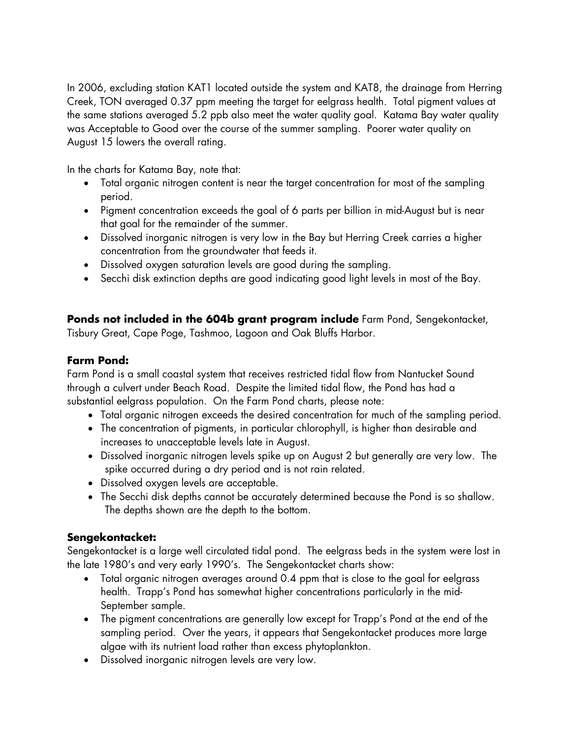In 2006, excluding station KAT1 located outside the system and KAT8, the drainage from Herring Creek, TON averaged 0.37 ppm meeting the target for eelgrass health. Total pigment values at the same stations averaged 5.2 ppb also meet the water quality goal. Katama Bay water quality was Acceptable to Good over the course of the summer sampling. Poorer water quality on August 15 lowers the overall rating.

In the charts for Katama Bay, note that:

- Total organic nitrogen content is near the target concentration for most of the sampling period.
- Pigment concentration exceeds the goal of 6 parts per billion in mid-August but is near that goal for the remainder of the summer.
- Dissolved inorganic nitrogen is very low in the Bay but Herring Creek carries a higher concentration from the groundwater that feeds it.
- Dissolved oxygen saturation levels are good during the sampling.
- Secchi disk extinction depths are good indicating good light levels in most of the Bay.

**Ponds not included in the 604b grant program include** Farm Pond, Sengekontacket, Tisbury Great, Cape Poge, Tashmoo, Lagoon and Oak Bluffs Harbor.

#### **Farm Pond:**

Farm Pond is a small coastal system that receives restricted tidal flow from Nantucket Sound through a culvert under Beach Road. Despite the limited tidal flow, the Pond has had a substantial eelgrass population. On the Farm Pond charts, please note:

- Total organic nitrogen exceeds the desired concentration for much of the sampling period.
- The concentration of pigments, in particular chlorophyll, is higher than desirable and increases to unacceptable levels late in August.
- Dissolved inorganic nitrogen levels spike up on August 2 but generally are very low. The spike occurred during a dry period and is not rain related.
- Dissolved oxygen levels are acceptable.
- The Secchi disk depths cannot be accurately determined because the Pond is so shallow. The depths shown are the depth to the bottom.

## **Sengekontacket:**

Sengekontacket is a large well circulated tidal pond. The eelgrass beds in the system were lost in the late 1980's and very early 1990's. The Sengekontacket charts show:

- Total organic nitrogen averages around 0.4 ppm that is close to the goal for eelgrass health. Trapp's Pond has somewhat higher concentrations particularly in the mid-September sample.
- The pigment concentrations are generally low except for Trapp's Pond at the end of the sampling period. Over the years, it appears that Sengekontacket produces more large algae with its nutrient load rather than excess phytoplankton.
- Dissolved inorganic nitrogen levels are very low.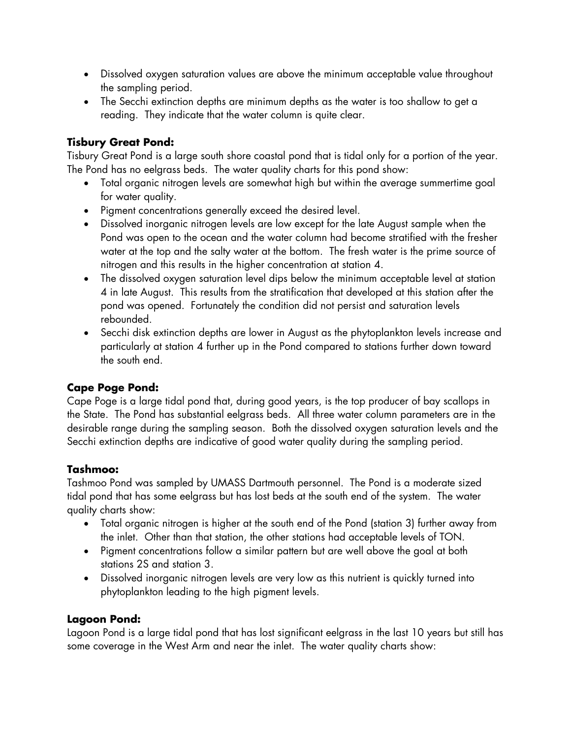- Dissolved oxygen saturation values are above the minimum acceptable value throughout the sampling period.
- The Secchi extinction depths are minimum depths as the water is too shallow to get a reading. They indicate that the water column is quite clear.

# **Tisbury Great Pond:**

Tisbury Great Pond is a large south shore coastal pond that is tidal only for a portion of the year. The Pond has no eelgrass beds. The water quality charts for this pond show:

- Total organic nitrogen levels are somewhat high but within the average summertime goal for water quality.
- Pigment concentrations generally exceed the desired level.
- Dissolved inorganic nitrogen levels are low except for the late August sample when the Pond was open to the ocean and the water column had become stratified with the fresher water at the top and the salty water at the bottom. The fresh water is the prime source of nitrogen and this results in the higher concentration at station 4.
- The dissolved oxygen saturation level dips below the minimum acceptable level at station 4 in late August. This results from the stratification that developed at this station after the pond was opened. Fortunately the condition did not persist and saturation levels rebounded.
- Secchi disk extinction depths are lower in August as the phytoplankton levels increase and particularly at station 4 further up in the Pond compared to stations further down toward the south end.

## **Cape Poge Pond:**

Cape Poge is a large tidal pond that, during good years, is the top producer of bay scallops in the State. The Pond has substantial eelgrass beds. All three water column parameters are in the desirable range during the sampling season. Both the dissolved oxygen saturation levels and the Secchi extinction depths are indicative of good water quality during the sampling period.

## **Tashmoo:**

Tashmoo Pond was sampled by UMASS Dartmouth personnel. The Pond is a moderate sized tidal pond that has some eelgrass but has lost beds at the south end of the system. The water quality charts show:

- Total organic nitrogen is higher at the south end of the Pond (station 3) further away from the inlet. Other than that station, the other stations had acceptable levels of TON.
- Pigment concentrations follow a similar pattern but are well above the goal at both stations 2S and station 3.
- Dissolved inorganic nitrogen levels are very low as this nutrient is quickly turned into phytoplankton leading to the high pigment levels.

## **Lagoon Pond:**

Lagoon Pond is a large tidal pond that has lost significant eelgrass in the last 10 years but still has some coverage in the West Arm and near the inlet. The water quality charts show: